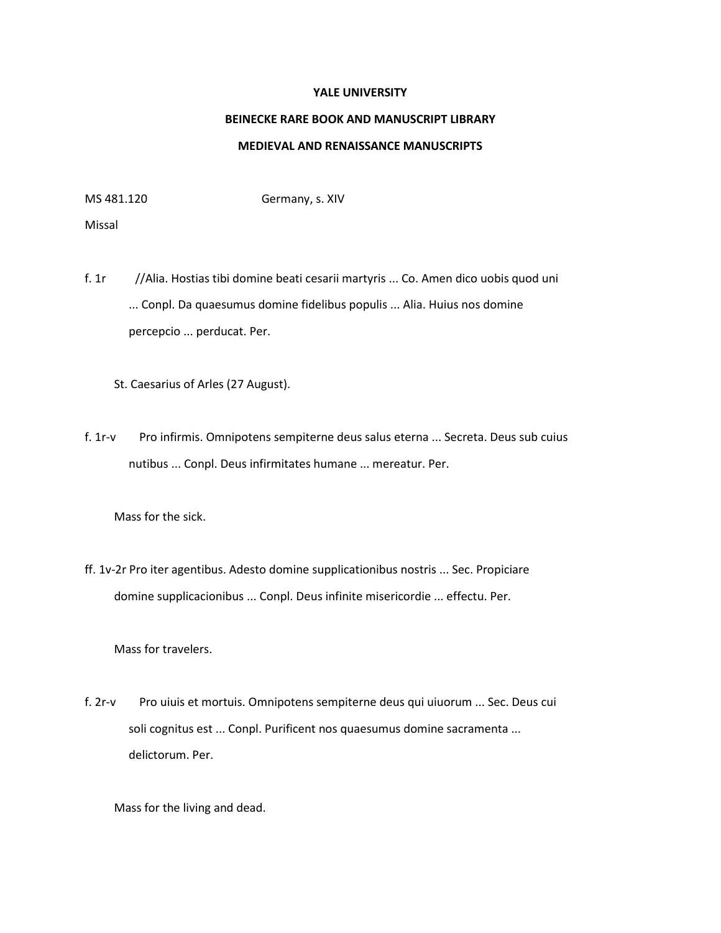## **YALE UNIVERSITY**

## **BEINECKE RARE BOOK AND MANUSCRIPT LIBRARY MEDIEVAL AND RENAISSANCE MANUSCRIPTS**

MS 481.120 Germany, s. XIV

Missal

f. 1r //Alia. Hostias tibi domine beati cesarii martyris ... Co. Amen dico uobis quod uni ... Conpl. Da quaesumus domine fidelibus populis ... Alia. Huius nos domine percepcio ... perducat. Per.

St. Caesarius of Arles (27 August).

f. 1r-v Pro infirmis. Omnipotens sempiterne deus salus eterna ... Secreta. Deus sub cuius nutibus ... Conpl. Deus infirmitates humane ... mereatur. Per.

Mass for the sick.

ff. 1v-2r Pro iter agentibus. Adesto domine supplicationibus nostris ... Sec. Propiciare domine supplicacionibus ... Conpl. Deus infinite misericordie ... effectu. Per.

Mass for travelers.

f. 2r-v Pro uiuis et mortuis. Omnipotens sempiterne deus qui uiuorum ... Sec. Deus cui soli cognitus est ... Conpl. Purificent nos quaesumus domine sacramenta ... delictorum. Per.

Mass for the living and dead.